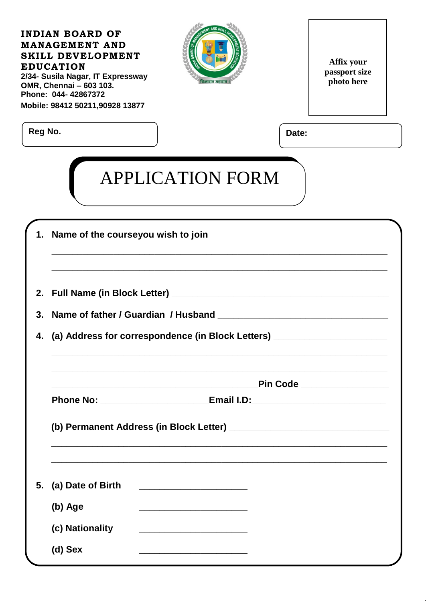| Date:                                                                            |
|----------------------------------------------------------------------------------|
|                                                                                  |
|                                                                                  |
| (a) Address for correspondence (in Block Letters) _______                        |
| Pin Code _________________                                                       |
| Phone No: ___________________________Email I.D:_________________________________ |
|                                                                                  |
|                                                                                  |